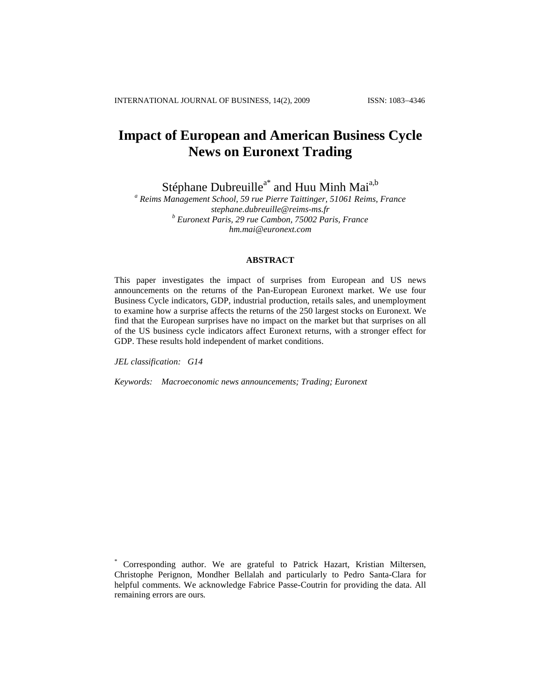# **Impact of European and American Business Cycle News on Euronext Trading**

Stéphane Dubreuille<sup>a\*</sup> and Huu Minh Mai<sup>a,b</sup>

*<sup>a</sup> Reims Management School, 59 rue Pierre Taittinger, 51061 Reims, France [stephane.dubreuille@reims-ms.fr](mailto:stephane.dubreuille@reims-ms.fr) <sup>b</sup> Euronext Paris, 29 rue Cambon, 75002 Paris, France hm.mai@euronext.com*

# **ABSTRACT**

This paper investigates the impact of surprises from European and US news announcements on the returns of the Pan-European Euronext market. We use four Business Cycle indicators, GDP, industrial production, retails sales, and unemployment to examine how a surprise affects the returns of the 250 largest stocks on Euronext. We find that the European surprises have no impact on the market but that surprises on all of the US business cycle indicators affect Euronext returns, with a stronger effect for GDP. These results hold independent of market conditions.

*JEL classification: G14*

*Keywords: Macroeconomic news announcements; Trading; Euronext*

Corresponding author. We are grateful to Patrick Hazart, Kristian Miltersen, Christophe Perignon, Mondher Bellalah and particularly to Pedro Santa-Clara for helpful comments. We acknowledge Fabrice Passe-Coutrin for providing the data. All remaining errors are ours*.*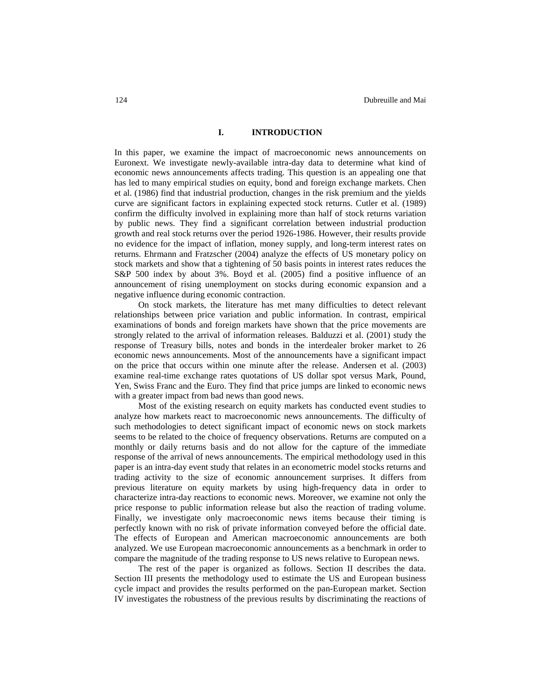#### **I. INTRODUCTION**

In this paper, we examine the impact of macroeconomic news announcements on Euronext. We investigate newly-available intra-day data to determine what kind of economic news announcements affects trading. This question is an appealing one that has led to many empirical studies on equity, bond and foreign exchange markets. Chen et al. (1986) find that industrial production, changes in the risk premium and the yields curve are significant factors in explaining expected stock returns. Cutler et al. (1989) confirm the difficulty involved in explaining more than half of stock returns variation by public news. They find a significant correlation between industrial production growth and real stock returns over the period 1926-1986. However, their results provide no evidence for the impact of inflation, money supply, and long-term interest rates on returns. Ehrmann and Fratzscher (2004) analyze the effects of US monetary policy on stock markets and show that a tightening of 50 basis points in interest rates reduces the S&P 500 index by about 3%. Boyd et al. (2005) find a positive influence of an announcement of rising unemployment on stocks during economic expansion and a negative influence during economic contraction.

On stock markets, the literature has met many difficulties to detect relevant relationships between price variation and public information. In contrast, empirical examinations of bonds and foreign markets have shown that the price movements are strongly related to the arrival of information releases. Balduzzi et al. (2001) study the response of Treasury bills, notes and bonds in the interdealer broker market to 26 economic news announcements. Most of the announcements have a significant impact on the price that occurs within one minute after the release. Andersen et al. (2003) examine real-time exchange rates quotations of US dollar spot versus Mark, Pound, Yen, Swiss Franc and the Euro. They find that price jumps are linked to economic news with a greater impact from bad news than good news.

Most of the existing research on equity markets has conducted event studies to analyze how markets react to macroeconomic news announcements. The difficulty of such methodologies to detect significant impact of economic news on stock markets seems to be related to the choice of frequency observations. Returns are computed on a monthly or daily returns basis and do not allow for the capture of the immediate response of the arrival of news announcements. The empirical methodology used in this paper is an intra-day event study that relates in an econometric model stocks returns and trading activity to the size of economic announcement surprises. It differs from previous literature on equity markets by using high-frequency data in order to characterize intra-day reactions to economic news. Moreover, we examine not only the price response to public information release but also the reaction of trading volume. Finally, we investigate only macroeconomic news items because their timing is perfectly known with no risk of private information conveyed before the official date. The effects of European and American macroeconomic announcements are both analyzed. We use European macroeconomic announcements as a benchmark in order to compare the magnitude of the trading response to US news relative to European news.

The rest of the paper is organized as follows. Section II describes the data. Section III presents the methodology used to estimate the US and European business cycle impact and provides the results performed on the pan-European market. Section IV investigates the robustness of the previous results by discriminating the reactions of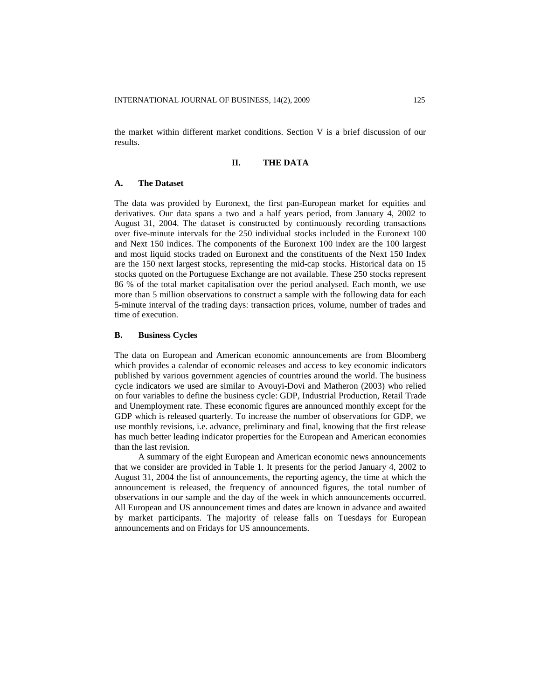the market within different market conditions. Section V is a brief discussion of our results.

## **II. THE DATA**

#### **A. The Dataset**

The data was provided by Euronext, the first pan-European market for equities and derivatives. Our data spans a two and a half years period, from January 4, 2002 to August 31, 2004. The dataset is constructed by continuously recording transactions over five-minute intervals for the 250 individual stocks included in the Euronext 100 and Next 150 indices. The components of the Euronext 100 index are the 100 largest and most liquid stocks traded on Euronext and the constituents of the Next 150 Index are the 150 next largest stocks, representing the mid-cap stocks. Historical data on 15 stocks quoted on the Portuguese Exchange are not available. These 250 stocks represent 86 % of the total market capitalisation over the period analysed. Each month, we use more than 5 million observations to construct a sample with the following data for each 5-minute interval of the trading days: transaction prices, volume, number of trades and time of execution.

#### **B. Business Cycles**

The data on European and American economic announcements are from Bloomberg which provides a calendar of economic releases and access to key economic indicators published by various government agencies of countries around the world. The business cycle indicators we used are similar to Avouyi-Dovi and Matheron (2003) who relied on four variables to define the business cycle: GDP, Industrial Production, Retail Trade and Unemployment rate. These economic figures are announced monthly except for the GDP which is released quarterly. To increase the number of observations for GDP, we use monthly revisions, i.e. advance, preliminary and final, knowing that the first release has much better leading indicator properties for the European and American economies than the last revision.

A summary of the eight European and American economic news announcements that we consider are provided in Table 1. It presents for the period January 4, 2002 to August 31, 2004 the list of announcements, the reporting agency, the time at which the announcement is released, the frequency of announced figures, the total number of observations in our sample and the day of the week in which announcements occurred. All European and US announcement times and dates are known in advance and awaited by market participants. The majority of release falls on Tuesdays for European announcements and on Fridays for US announcements.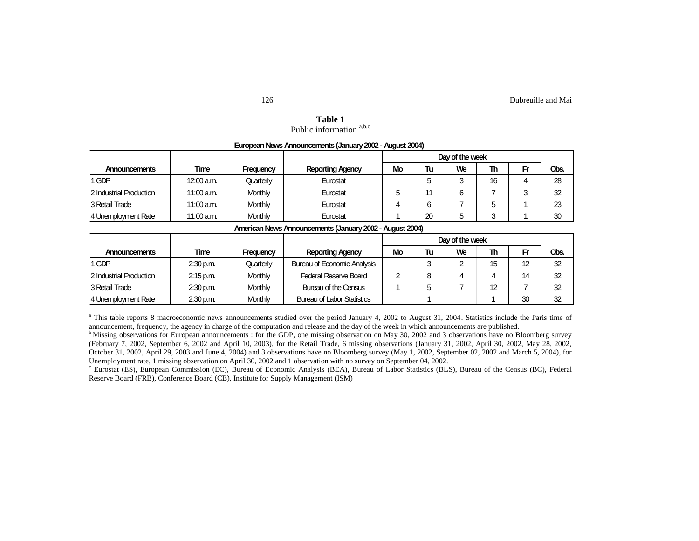| Table 1                             |  |
|-------------------------------------|--|
| Public information <sup>a,b,c</sup> |  |

**European News Announcements (January2002 - August 2004)**

|                         |              |           |                         | Day of the week |    |    |    |        |      |
|-------------------------|--------------|-----------|-------------------------|-----------------|----|----|----|--------|------|
| <b>Announcements</b>    | <b>Time</b>  | Frequency | <b>Reporting Agency</b> | Mo              | Tu | We | Th | Fr     | Obs. |
| 1 GDP                   | $12:00$ a.m. | Quarterly | Eurostat                |                 |    |    | 16 | 4      | 28   |
| 2 Industrial Production | $11:00$ a.m. | Monthly   | Eurostat                | b               | 44 | 6  |    | ີ<br>ت | 32   |
| 3 Retail Trade          | $11:00$ a.m. | Monthly   | Eurostat                |                 | 6  |    | 5. |        | 23   |
| 4 Unemployment Rate     | $11:00$ a.m. | Monthly   | Eurostat                |                 | 20 | ∽  | ົ  |        | 30   |

#### American News Announcements (January 2002 - August 2004)

|                         |             |                |                                   | Day of the week |    |    |    |    |      |
|-------------------------|-------------|----------------|-----------------------------------|-----------------|----|----|----|----|------|
| <b>Announcements</b>    | Time        | Frequency      | <b>Reporting Agency</b>           | <b>Mo</b>       | Tu | We | Th | Fr | Obs. |
| 1 GDP                   | $2:30$ p.m. | Quarterly      | Bureau of Economic Analysis       |                 |    | ົ  | 15 | 12 | 32   |
| 2 Industrial Production | 2:15 p.m.   | Monthly        | <b>Federal Reserve Board</b>      | າ               |    |    |    | 14 | 32   |
| 3 Retail Trade          | $2:30$ p.m. | <b>Monthly</b> | Bureau of the Census              |                 |    |    | 12 |    | 32   |
| 4 Unemployment Rate     | $2:30$ p.m. | <b>Monthly</b> | <b>Bureau of Labor Statistics</b> |                 |    |    |    | 30 | 32   |

<sup>a</sup> This table reports 8 macroeconomic news announcements studied over the period January 4, 2002 to August 31, 2004. Statistics include the Paris time of announcement, frequency, the agency in charge of the computation and release and the day of the week in which announcements are published.

c Eurostat (ES), European Commission (EC), Bureau of Economic Analysis (BEA), Bureau of Labor Statistics (BLS), Bureau of the Census (BC), Federal Reserve Board (FRB), Conference Board (CB), Institute for Supply Management (ISM)

<sup>&</sup>lt;sup>b</sup> Missing observations for European announcements : for the GDP, one missing observation on May 30, 2002 and 3 observations have no Bloomberg survey (February 7, 2002, September 6, 2002 and April 10, 2003), for the Retail Trade, 6 missing observations (January 31, 2002, April 30, 2002, May 28, 2002, October 31, 2002, April 29, 2003 and June 4, 2004) and 3 observations have no Bloomberg survey (May 1, 2002, September 02, 2002 and March 5, 2004), for Unemployment rate, 1 missing observation on April 30, 2002 and 1 observation with no survey on September 04, 2002.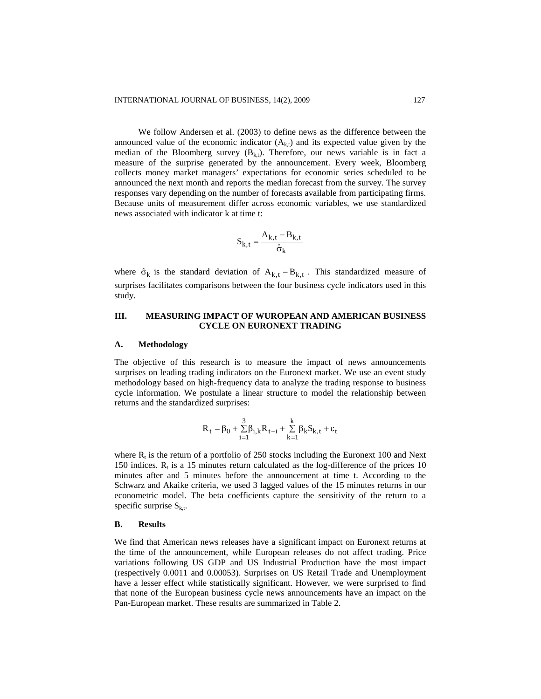We follow Andersen et al. (2003) to define news as the difference between the announced value of the economic indicator  $(A_{k,t})$  and its expected value given by the median of the Bloomberg survey  $(B_{k,t})$ . Therefore, our news variable is in fact a measure of the surprise generated by the announcement. Every week, Bloomberg collects money market managers' expectations for economic series scheduled to be announced the next month and reports the median forecast from the survey. The survey responses vary depending on the number of forecasts available from participating firms. Because units of measurement differ across economic variables, we use standardized news associated with indicator k at time t:

$$
S_{k,t} = \frac{A_{k,t} - B_{k,t}}{\hat{\sigma}_k}
$$

where  $\hat{\sigma}_k$  is the standard deviation of  $A_{k,t} - B_{k,t}$ . This standardized measure of surprises facilitates comparisons between the four business cycle indicators used in this study.

# **III. MEASURING IMPACT OF WUROPEAN AND AMERICAN BUSINESS CYCLE ON EURONEXT TRADING**

#### **A. Methodology**

The objective of this research is to measure the impact of news announcements surprises on leading trading indicators on the Euronext market. We use an event study methodology based on high-frequency data to analyze the trading response to business cycle information. We postulate a linear structure to model the relationship between returns and the standardized surprises:

$$
R_t = \beta_0 + \sum_{i=1}^3 \beta_{i,k} R_{t-i} + \sum_{k=1}^k \beta_k S_{k,t} + \epsilon_t
$$

where  $R_t$  is the return of a portfolio of 250 stocks including the Euronext 100 and Next 150 indices.  $R_t$  is a 15 minutes return calculated as the log-difference of the prices 10 minutes after and 5 minutes before the announcement at time t. According to the Schwarz and Akaike criteria, we used 3 lagged values of the 15 minutes returns in our econometric model. The beta coefficients capture the sensitivity of the return to a specific surprise  $S_{k,t}$ .

#### **B. Results**

We find that American news releases have a significant impact on Euronext returns at the time of the announcement, while European releases do not affect trading. Price variations following US GDP and US Industrial Production have the most impact (respectively 0.0011 and 0.00053). Surprises on US Retail Trade and Unemployment have a lesser effect while statistically significant. However, we were surprised to find that none of the European business cycle news announcements have an impact on the Pan-European market. These results are summarized in Table 2.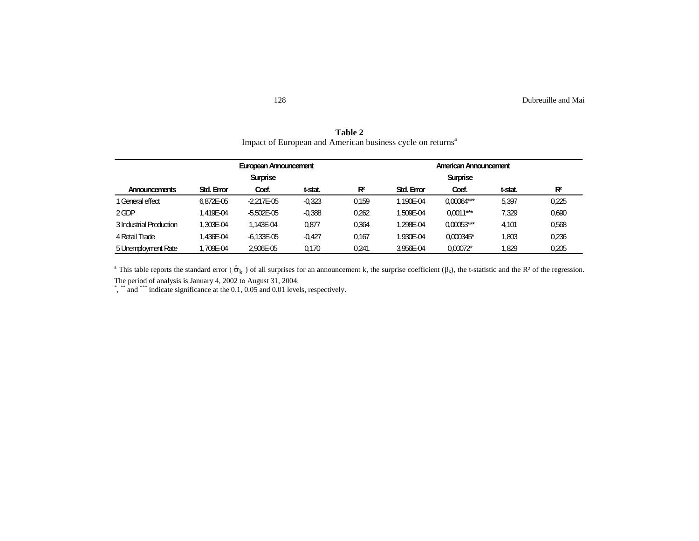|                         |                       | European Announcement |          |       |                   |                 |         |       |
|-------------------------|-----------------------|-----------------------|----------|-------|-------------------|-----------------|---------|-------|
|                         | American Announcement |                       |          |       |                   |                 |         |       |
|                         |                       | <b>Surprise</b>       |          |       |                   | <b>Surprise</b> |         |       |
| <b>Announcements</b>    | <b>Std. Error</b>     | Coef.                 | t-stat.  | $R^2$ | <b>Std. Error</b> | Coef.           | t-stat. | $R^2$ |
| 1 General effect        | 6.872E-05             | $-2.217E-05$          | $-0.323$ | 0,159 | 1.190E-04         | $0,00064***$    | 5,397   | 0,225 |
| 2 GDP                   | 1.419E-04             | $-5.502E - 05$        | $-0.388$ | 0.262 | 1.509E-04         | $0.0011***$     | 7.329   | 0,690 |
| 3 Industrial Production | 1.303E-04             | 1.143E-04             | 0.877    | 0.364 | 1.298E-04         | $0.00053***$    | 4.101   | 0,568 |
| 4 Retail Trade          | 1.436E-04             | $-6.133E - 05$        | $-0.427$ | 0.167 | 1.930E-04         | 0.000345*       | 1,803   | 0,236 |
| 5 Unemployment Rate     | 1.709E-04             | 2,906E-05             | 0.170    | 0.241 | 3.956E-04         | $0.00072*$      | 1.829   | 0,205 |

**Table 2** Impact of European and American business cycle on returns<sup>a</sup>

<sup>a</sup> This table reports the standard error ( $\hat{\sigma}_k$ ) of all surprises for an announcement k, the surprise coefficient ( $\beta_k$ ), the t-statistic and the R<sup>2</sup> of the regression.

The period of analysis is January 4, 2002 to August 31, 2004.<br>\*, \*\* and \*\*\* indicate significance at the 0.1, 0.05 and 0.01 levels, respectively.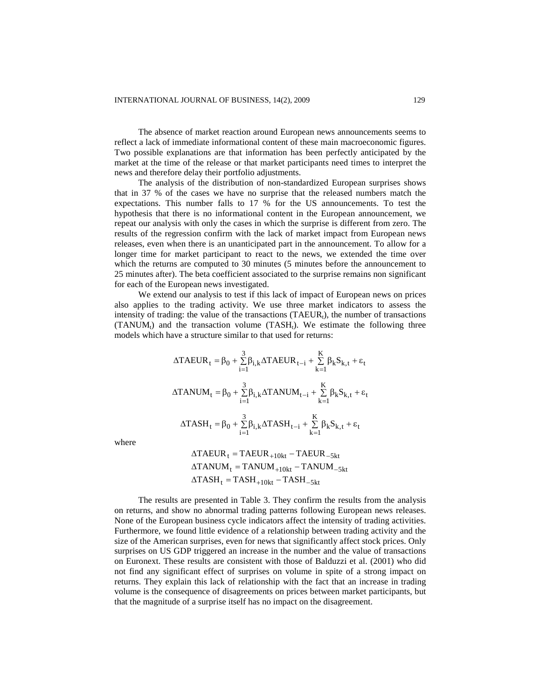The absence of market reaction around European news announcements seems to reflect a lack of immediate informational content of these main macroeconomic figures. Two possible explanations are that information has been perfectly anticipated by the market at the time of the release or that market participants need times to interpret the news and therefore delay their portfolio adjustments.

The analysis of the distribution of non-standardized European surprises shows that in 37 % of the cases we have no surprise that the released numbers match the expectations. This number falls to 17 % for the US announcements. To test the hypothesis that there is no informational content in the European announcement, we repeat our analysis with only the cases in which the surprise is different from zero. The results of the regression confirm with the lack of market impact from European news releases, even when there is an unanticipated part in the announcement. To allow for a longer time for market participant to react to the news, we extended the time over which the returns are computed to 30 minutes (5 minutes before the announcement to 25 minutes after). The beta coefficient associated to the surprise remains non significant for each of the European news investigated.

We extend our analysis to test if this lack of impact of European news on prices also applies to the trading activity. We use three market indicators to assess the intensity of trading: the value of the transactions  $(TAEUR_t)$ , the number of transactions  $(TANUM_t)$  and the transaction volume  $(TASH_t)$ . We estimate the following three models which have a structure similar to that used for returns:

$$
\begin{aligned} &\Delta TAEUR_t = \beta_0 + \sum_{i=1}^3 \beta_{i,k} \Delta TAEUR_{t-i} + \sum_{k=1}^K \beta_k S_{k,t} + \epsilon_t \\ &\Delta TANUM_t = \beta_0 + \sum_{i=1}^3 \beta_{i,k} \Delta TANUM_{t-i} + \sum_{k=1}^K \beta_k S_{k,t} + \epsilon_t \\ &\Delta TASH_t = \beta_0 + \sum_{i=1}^3 \beta_{i,k} \Delta TASH_{t-i} + \sum_{k=1}^K \beta_k S_{k,t} + \epsilon_t \end{aligned}
$$

where

$$
\begin{aligned} &\Delta\text{TAEUR}_{\text{t}} = \text{TAEUR}_{+10\text{kt}} - \text{TAEUR}_{-5\text{kt}} \\ &\Delta\text{TANUM}_{\text{t}} = \text{TANUM}_{+10\text{kt}} - \text{TANUM}_{-5\text{kt}} \\ &\Delta\text{TASH}_{\text{t}} = \text{TASH}_{+10\text{kt}} - \text{TASH}_{-5\text{kt}} \end{aligned}
$$

The results are presented in Table 3. They confirm the results from the analysis on returns, and show no abnormal trading patterns following European news releases. None of the European business cycle indicators affect the intensity of trading activities. Furthermore, we found little evidence of a relationship between trading activity and the size of the American surprises, even for news that significantly affect stock prices. Only surprises on US GDP triggered an increase in the number and the value of transactions on Euronext. These results are consistent with those of Balduzzi et al. (2001) who did not find any significant effect of surprises on volume in spite of a strong impact on returns. They explain this lack of relationship with the fact that an increase in trading volume is the consequence of disagreements on prices between market participants, but that the magnitude of a surprise itself has no impact on the disagreement.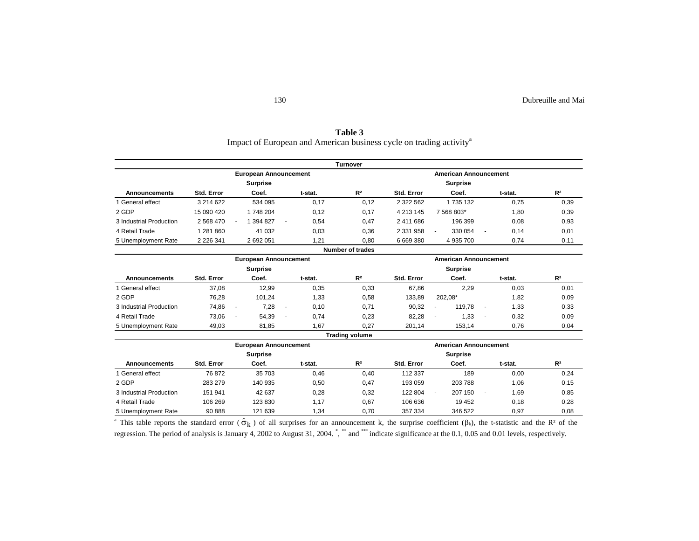| Table 3                                                                         |
|---------------------------------------------------------------------------------|
| Impact of European and American business cycle on trading activity <sup>a</sup> |

|                         |               |                                                     |         | <b>Turnover</b>         |               |                                                    |         |                |
|-------------------------|---------------|-----------------------------------------------------|---------|-------------------------|---------------|----------------------------------------------------|---------|----------------|
|                         |               | <b>European Announcement</b>                        |         |                         |               | <b>American Announcement</b>                       |         |                |
|                         |               | <b>Surprise</b>                                     |         |                         |               | <b>Surprise</b>                                    |         |                |
| <b>Announcements</b>    | Std. Error    | Coef.                                               | t-stat. | R <sup>2</sup>          | Std. Error    | Coef.                                              | t-stat. | R <sup>2</sup> |
| 1 General effect        | 3 214 622     | 534 095                                             | 0,17    | 0,12                    | 2 322 562     | 1 735 132                                          | 0,75    | 0,39           |
| 2 GDP                   | 15 090 420    | 1748 204                                            | 0,12    | 0,17                    | 4 213 145     | 7 568 803*                                         | 1,80    | 0,39           |
| 3 Industrial Production | 2 568 470     | 1 394 827<br>$\sim$<br>ä,                           | 0,54    | 0,47                    | 2 411 686     | 196 399                                            | 0.08    | 0,93           |
| 4 Retail Trade          | 1 281 860     | 41 0 32                                             | 0,03    | 0,36                    | 2 3 3 1 9 5 8 | 330 054<br>ä,<br>$\blacksquare$                    | 0,14    | 0,01           |
| 5 Unemployment Rate     | 2 2 2 6 3 4 1 | 2 692 051                                           | 1,21    | 0,80                    | 6 669 380     | 4 935 700                                          | 0,74    | 0,11           |
|                         |               |                                                     |         | <b>Number of trades</b> |               |                                                    |         |                |
|                         |               | <b>European Announcement</b>                        |         |                         |               | <b>American Announcement</b>                       |         |                |
|                         |               | <b>Surprise</b>                                     |         |                         |               | <b>Surprise</b>                                    |         |                |
| <b>Announcements</b>    | Std. Error    | Coef.                                               | t-stat. | R <sup>2</sup>          | Std. Error    | Coef.                                              | t-stat. | R <sup>2</sup> |
| 1 General effect        | 37,08         | 12,99                                               | 0,35    | 0,33                    | 67,86         | 2,29                                               | 0,03    | 0,01           |
| 2 GDP                   | 76,28         | 101.24                                              | 1,33    | 0,58                    | 133.89        | 202.08*                                            | 1,82    | 0,09           |
| 3 Industrial Production | 74,86         | 7,28<br>$\blacksquare$<br>$\blacksquare$            | 0,10    | 0,71                    | 90,32         | 119,78<br>÷<br>÷                                   | 1,33    | 0,33           |
| 4 Retail Trade          | 73,06         | 54,39<br>$\overline{\phantom{a}}$<br>$\overline{a}$ | 0,74    | 0,23                    | 82,28         | 1,33<br>$\blacksquare$<br>$\overline{\phantom{a}}$ | 0,32    | 0,09           |
| 5 Unemployment Rate     | 49,03         | 81,85                                               | 1,67    | 0,27                    | 201,14        | 153,14                                             | 0,76    | 0,04           |
|                         |               |                                                     |         | <b>Trading volume</b>   |               |                                                    |         |                |
|                         |               | <b>European Announcement</b>                        |         |                         |               | <b>American Announcement</b>                       |         |                |
|                         |               | <b>Surprise</b>                                     |         |                         |               | <b>Surprise</b>                                    |         |                |
| <b>Announcements</b>    | Std. Error    | Coef.                                               | t-stat. | R <sup>2</sup>          | Std. Error    | Coef.                                              | t-stat. | R <sup>2</sup> |
| 1 General effect        | 76872         | 35 703                                              | 0,46    | 0,40                    | 112 337       | 189                                                | 0,00    | 0,24           |
| 2 GDP                   | 283 279       | 140 935                                             | 0,50    | 0,47                    | 193 059       | 203 788                                            | 1,06    | 0,15           |
| 3 Industrial Production | 151 941       | 42 637                                              | 0,28    | 0,32                    | 122 804       | 207 150<br>$\blacksquare$<br>$\blacksquare$        | 1,69    | 0,85           |
| 4 Retail Trade          | 106 269       | 123 830                                             | 1,17    | 0,67                    | 106 636       | 19 452                                             | 0,18    | 0,28           |
| 5 Unemployment Rate     | 90 888        | 121 639                                             | 1,34    | 0.70                    | 357 334       | 346 522                                            | 0,97    | 0,08           |

<sup>a</sup> This table reports the standard error  $(\hat{\sigma}_k)$  of all surprises for an announcement k, the surprise coefficient  $(\beta_k)$ , the t-statistic and the R<sup>2</sup> of the regression. The period of analysis is January 4, 2002 to August 31, 2004. \*, \*\*\* and \*\*\*\* indicate significance at the 0.1, 0.05 and 0.01 levels, respectively.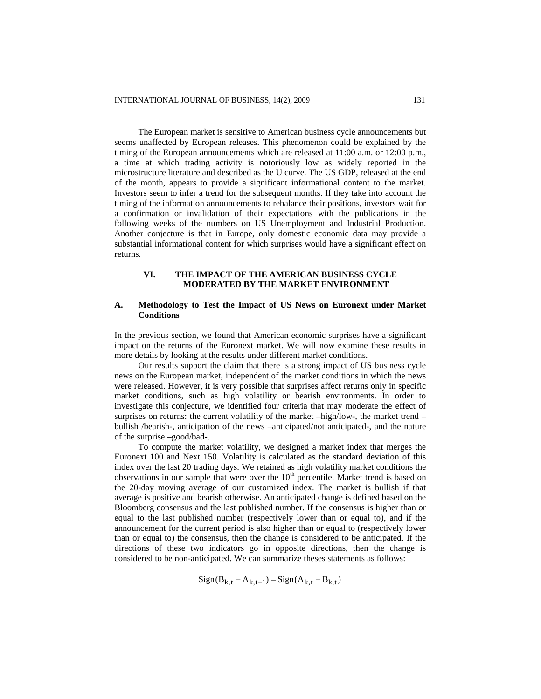The European market is sensitive to American business cycle announcements but seems unaffected by European releases. This phenomenon could be explained by the timing of the European announcements which are released at 11:00 a.m. or 12:00 p.m., a time at which trading activity is notoriously low as widely reported in the microstructure literature and described as the U curve. The US GDP, released at the end of the month, appears to provide a significant informational content to the market. Investors seem to infer a trend for the subsequent months. If they take into account the timing of the information announcements to rebalance their positions, investors wait for a confirmation or invalidation of their expectations with the publications in the following weeks of the numbers on US Unemployment and Industrial Production. Another conjecture is that in Europe, only domestic economic data may provide a substantial informational content for which surprises would have a significant effect on returns.

# **VI. THE IMPACT OF THE AMERICAN BUSINESS CYCLE MODERATED BY THE MARKET ENVIRONMENT**

## **A. Methodology to Test the Impact of US News on Euronext under Market Conditions**

In the previous section, we found that American economic surprises have a significant impact on the returns of the Euronext market. We will now examine these results in more details by looking at the results under different market conditions.

Our results support the claim that there is a strong impact of US business cycle news on the European market, independent of the market conditions in which the news were released. However, it is very possible that surprises affect returns only in specific market conditions, such as high volatility or bearish environments. In order to investigate this conjecture, we identified four criteria that may moderate the effect of surprises on returns: the current volatility of the market –high/low-, the market trend – bullish /bearish-, anticipation of the news –anticipated/not anticipated-, and the nature of the surprise –good/bad-.

To compute the market volatility, we designed a market index that merges the Euronext 100 and Next 150. Volatility is calculated as the standard deviation of this index over the last 20 trading days. We retained as high volatility market conditions the observations in our sample that were over the  $10<sup>th</sup>$  percentile. Market trend is based on the 20-day moving average of our customized index. The market is bullish if that average is positive and bearish otherwise. An anticipated change is defined based on the Bloomberg consensus and the last published number. If the consensus is higher than or equal to the last published number (respectively lower than or equal to), and if the announcement for the current period is also higher than or equal to (respectively lower than or equal to) the consensus, then the change is considered to be anticipated. If the directions of these two indicators go in opposite directions, then the change is considered to be non-anticipated. We can summarize theses statements as follows:

 $Sign(B_{k,t} - A_{k,t-1}) = Sign(A_{k,t} - B_{k,t})$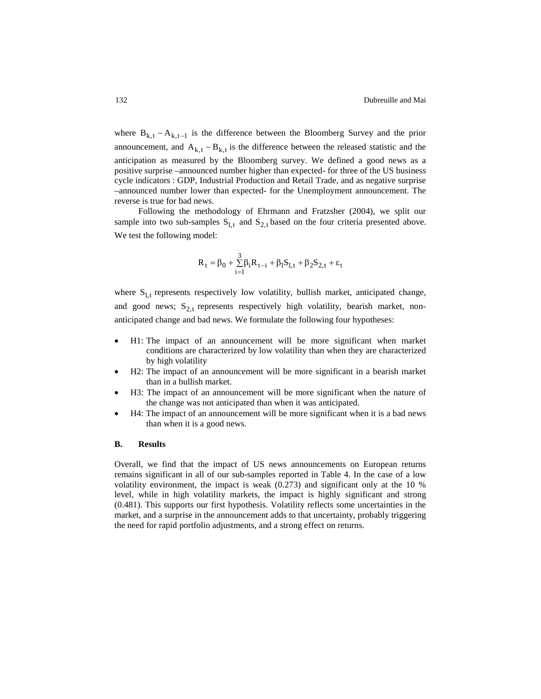where  $B_{k,t} - A_{k,t-1}$  is the difference between the Bloomberg Survey and the prior announcement, and  $A_{k,t} - B_{k,t}$  is the difference between the released statistic and the anticipation as measured by the Bloomberg survey. We defined a good news as a positive surprise –announced number higher than expected- for three of the US business cycle indicators : GDP, Industrial Production and Retail Trade, and as negative surprise –announced number lower than expected- for the Unemployment announcement. The reverse is true for bad news.

Following the methodology of Ehrmann and Fratzsher (2004), we split our sample into two sub-samples  $S_{1,t}$  and  $S_{2,t}$  based on the four criteria presented above. We test the following model:

$$
R_t=\beta_0+\textcolor{black}{\sum_{i=1}^3}\beta_iR_{t-i}+\beta_lS_{l,t}+\beta_2S_{2,t}+\epsilon_t
$$

where  $S_{1,t}$  represents respectively low volatility, bullish market, anticipated change, and good news;  $S_{2,t}$  represents respectively high volatility, bearish market, nonanticipated change and bad news. We formulate the following four hypotheses:

- H1: The impact of an announcement will be more significant when market conditions are characterized by low volatility than when they are characterized by high volatility
- H2: The impact of an announcement will be more significant in a bearish market than in a bullish market.
- H3: The impact of an announcement will be more significant when the nature of the change was not anticipated than when it was anticipated.
- H4: The impact of an announcement will be more significant when it is a bad news than when it is a good news.

#### **B. Results**

Overall, we find that the impact of US news announcements on European returns remains significant in all of our sub-samples reported in Table 4. In the case of a low volatility environment, the impact is weak (0.273) and significant only at the 10 % level, while in high volatility markets, the impact is highly significant and strong (0.481). This supports our first hypothesis. Volatility reflects some uncertainties in the market, and a surprise in the announcement adds to that uncertainty, probably triggering the need for rapid portfolio adjustments, and a strong effect on returns.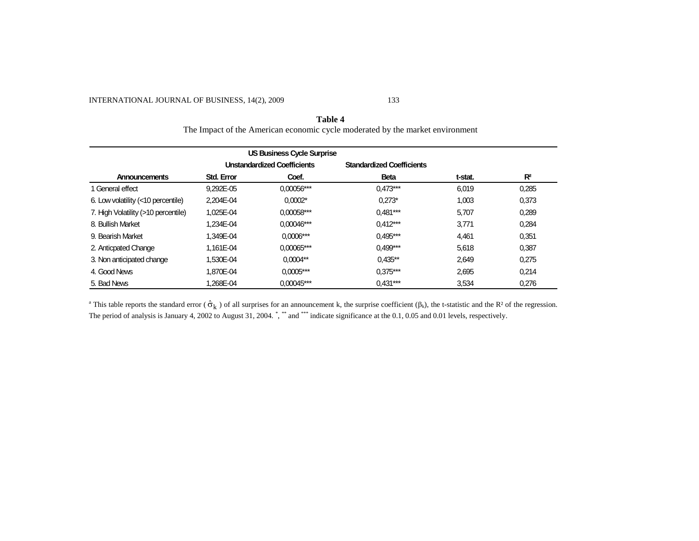# INTERNATIONAL JOURNAL OF BUSINESS, 14(2), 2009 133

# **Table 4** The Impact of the American economic cycle moderated by the market environment

| <b>US Business Cycle Surprise</b>   |                   |                                    |                                  |         |       |  |  |
|-------------------------------------|-------------------|------------------------------------|----------------------------------|---------|-------|--|--|
|                                     |                   | <b>Unstandardized Coefficients</b> | <b>Standardized Coefficients</b> |         |       |  |  |
| Announcements                       | <b>Std. Error</b> | Coef.                              | <b>Beta</b>                      | t-stat. | $R^2$ |  |  |
| 1 General effect                    | 9.292E-05         | 0,00056***                         | $0.473***$                       | 6.019   | 0.285 |  |  |
| 6. Low volatility (<10 percentile)  | 2.204E-04         | $0.0002*$                          | $0.273*$                         | 1.003   | 0.373 |  |  |
| 7. High Volatility (>10 percentile) | 1.025E-04         | $0.00058***$                       | $0.481***$                       | 5.707   | 0.289 |  |  |
| 8. Bullish Market                   | 1.234E-04         | $0.00046***$                       | $0.412***$                       | 3.771   | 0.284 |  |  |
| 9. Bearish Market                   | 1.349E-04         | $0.0006***$                        | $0.495***$                       | 4.461   | 0.351 |  |  |
| 2. Anticpated Change                | 1.161E-04         | $0.00065***$                       | $0.499***$                       | 5.618   | 0.387 |  |  |
| 3. Non anticipated change           | 1.530E-04         | $0.0004**$                         | $0.435**$                        | 2.649   | 0.275 |  |  |
| 4. Good News                        | 1.870E-04         | $0.0005***$                        | $0.375***$                       | 2.695   | 0.214 |  |  |
| 5. Bad News                         | 1.268E-04         | $0.00045***$                       | $0.431***$                       | 3,534   | 0.276 |  |  |

<sup>a</sup> This table reports the standard error ( $\hat{\sigma}_k$ ) of all surprises for an announcement k, the surprise coefficient ( $\beta_k$ ), the t-statistic and the R<sup>2</sup> of the regression. The period of analysis is January 4, 2002 to August 31, 2004.  $\degree$ ,  $\degree$  and  $\degree$  indicate significance at the 0.1, 0.05 and 0.01 levels, respectively.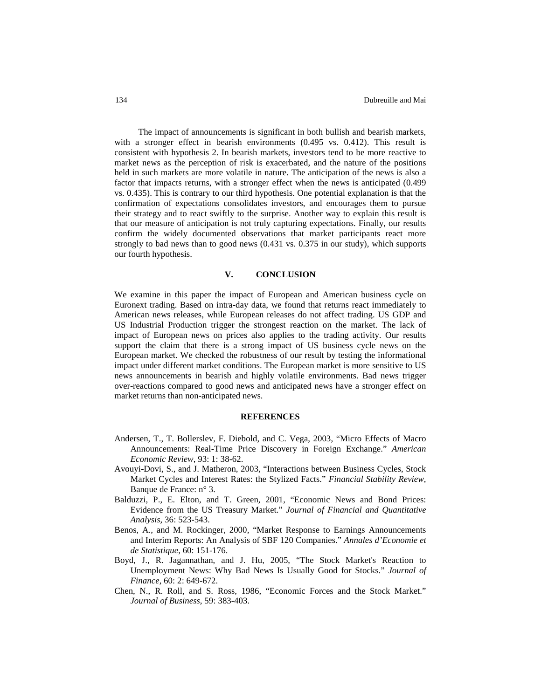The impact of announcements is significant in both bullish and bearish markets, with a stronger effect in bearish environments (0.495 vs. 0.412). This result is consistent with hypothesis 2. In bearish markets, investors tend to be more reactive to market news as the perception of risk is exacerbated, and the nature of the positions held in such markets are more volatile in nature. The anticipation of the news is also a factor that impacts returns, with a stronger effect when the news is anticipated (0.499 vs. 0.435). This is contrary to our third hypothesis. One potential explanation is that the confirmation of expectations consolidates investors, and encourages them to pursue their strategy and to react swiftly to the surprise. Another way to explain this result is that our measure of anticipation is not truly capturing expectations. Finally, our results confirm the widely documented observations that market participants react more strongly to bad news than to good news (0.431 vs. 0.375 in our study), which supports our fourth hypothesis.

## **V. CONCLUSION**

We examine in this paper the impact of European and American business cycle on Euronext trading. Based on intra-day data, we found that returns react immediately to American news releases, while European releases do not affect trading. US GDP and US Industrial Production trigger the strongest reaction on the market. The lack of impact of European news on prices also applies to the trading activity. Our results support the claim that there is a strong impact of US business cycle news on the European market. We checked the robustness of our result by testing the informational impact under different market conditions. The European market is more sensitive to US news announcements in bearish and highly volatile environments. Bad news trigger over-reactions compared to good news and anticipated news have a stronger effect on market returns than non-anticipated news.

#### **REFERENCES**

- Andersen, T., T. Bollerslev, F. Diebold, and C. Vega, 2003, "Micro Effects of Macro Announcements: Real-Time Price Discovery in Foreign Exchange." *American Economic Review*, 93: 1: 38-62.
- Avouyi-Dovi, S., and J. Matheron, 2003, "Interactions between Business Cycles, Stock Market Cycles and Interest Rates: the Stylized Facts." *Financial Stability Review,* Banque de France: n° 3.
- Balduzzi, P., E. Elton, and T. Green, 2001, "Economic News and Bond Prices: Evidence from the US Treasury Market." *Journal of Financial and Quantitative Analysis*, 36: 523-543.
- Benos, A., and M. Rockinger, 2000, "Market Response to Earnings Announcements and Interim Reports: An Analysis of SBF 120 Companies." *Annales d'Economie et de Statistique*, 60: 151-176.
- Boyd, J., R. Jagannathan, and J. Hu, 2005, "[The Stock Market's Reaction to](http://www.blackwell-synergy.com/links/doi/10.1111/j.1540-6261.2005.00742.x/abs/) [Unemployment News: Why Bad News Is Usually Good for Stocks.](http://www.blackwell-synergy.com/links/doi/10.1111/j.1540-6261.2005.00742.x/abs/)" *Journal of Finance*, 60: 2: 649-672.
- Chen, N., R. Roll, and S. Ross, 1986, "Economic Forces and the Stock Market." *Journal of Business*, 59: 383-403.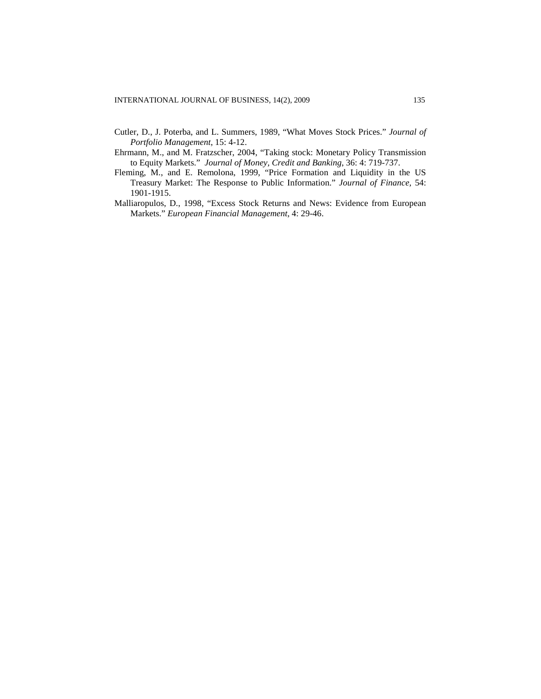- Cutler, D., J. Poterba, and L. Summers, 1989, "What Moves Stock Prices." *Journal of Portfolio Management*, 15: 4-12.
- Ehrmann, M., and M. Fratzscher, 2004, "Taking stock: Monetary Policy Transmission to Equity Markets." *Journal of Money, Credit and Banking*, 36: 4: 719-737.
- Fleming, M., and E. Remolona, 1999, "Price Formation and Liquidity in the US Treasury Market: The Response to Public Information." *Journal of Finance,* 54: 1901-1915.
- Malliaropulos, D., 1998, "Excess Stock Returns and News: Evidence from European Markets." *European Financial Management*, 4: 29-46.